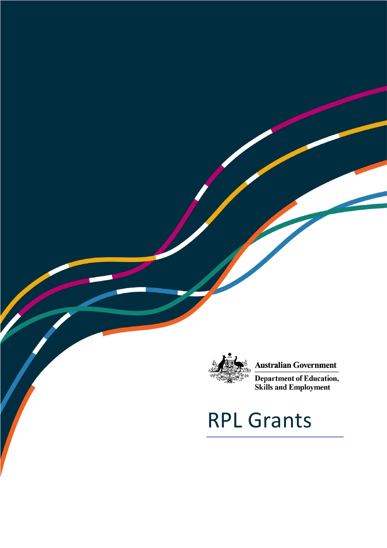

 $\overline{\phantom{a}}$ 

### **Australian Government**

**Department of Education,**<br>Skills and Employment

# RPL Grants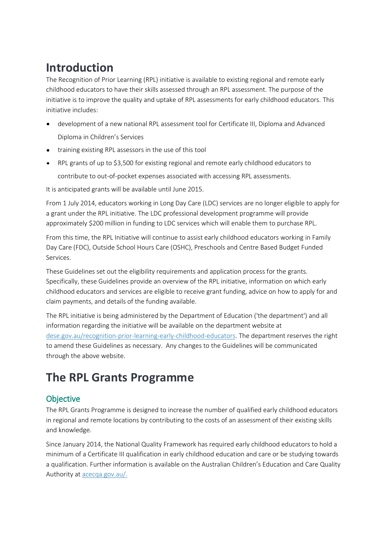# **Introduction**

The Recognition of Prior Learning (RPL) initiative is available to existing regional and remote early childhood educators to have their skills assessed through an RPL assessment. The purpose of the initiative is to improve the quality and uptake of RPL assessments for early childhood educators. This initiative includes:

- development of a new national RPL assessment tool for Certificate III, Diploma and Advanced Diploma in Children's Services
- training existing RPL assessors in the use of this tool
- RPL grants of up to \$3,500 for existing regional and remote early childhood educators to contribute to out-of-pocket expenses associated with accessing RPL assessments.

It is anticipated grants will be available until June 2015.

From 1 July 2014, educators working in Long Day Care (LDC) services are no longer eligible to apply for a grant under the RPL initiative. The LDC professional development programme will provide approximately \$200 million in funding to LDC services which will enable them to purchase RPL.

From this time, the RPL Initiative will continue to assist early childhood educators working in Family Day Care (FDC), Outside School Hours Care (OSHC), Preschools and Centre Based Budget Funded Services.

These Guidelines set out the eligibility requirements and application process for the grants. Specifically, these Guidelines provide an overview of the RPL initiative, information on which early childhood educators and services are eligible to receive grant funding, advice on how to apply for and claim payments, and details of the funding available.

The RPL initiative is being administered by the Department of Education ('the department') and all information regarding the initiative will be available on the department website at [dese.gov.au/recognition-prior-learning-early-childhood-educators.](http://education.gov.au/recognition-prior-learning-early-childhood-educators-0) The department reserves the right to amend these Guidelines as necessary. Any changes to the Guidelines will be communicated through the above website.

# **The RPL Grants Programme**

### **Objective**

The RPL Grants Programme is designed to increase the number of qualified early childhood educators in regional and remote locations by contributing to the costs of an assessment of their existing skills and knowledge.

Since January 2014, the National Quality Framework has required early childhood educators to hold a minimum of a Certificate III qualification in early childhood education and care or be studying towards a qualification. Further information is available on the Australian Children's Education and Care Quality Authority at [acecqa.gov.au/.](http://acecqa.gov.au/)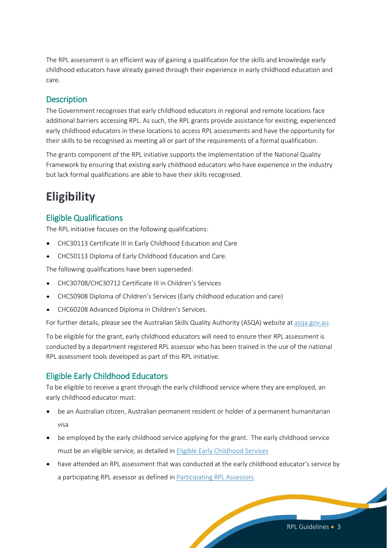The RPL assessment is an efficient way of gaining a qualification for the skills and knowledge early childhood educators have already gained through their experience in early childhood education and care.

#### **Description**

The Government recognises that early childhood educators in regional and remote locations face additional barriers accessing RPL. As such, the RPL grants provide assistance for existing, experienced early childhood educators in these locations to access RPL assessments and have the opportunity for their skills to be recognised as meeting all or part of the requirements of a formal qualification.

The grants component of the RPL initiative supports the implementation of the National Quality Framework by ensuring that existing early childhood educators who have experience in the industry but lack formal qualifications are able to have their skills recognised.

# **Eligibility**

#### <span id="page-2-0"></span>Eligible Qualifications

The RPL initiative focuses on the following qualifications:

- CHC30113 Certificate III in Early Childhood Education and Care
- CHC50113 Diploma of Early Childhood Education and Care.

The following qualifications have been superseded:

- CHC30708/CHC30712 Certificate III in Children's Services
- CHC50908 Diploma of Children's Services (Early childhood education and care)
- CHC60208 Advanced Diploma in Children's Services.

For further details, please see the Australian Skills Quality Authority (ASQA) website at [asqa.gov.au.](www.asqa.gov.au)

To be eligible for the grant, early childhood educators will need to ensure their RPL assessment is conducted by a department registered RPL assessor who has been trained in the use of the national RPL assessment tools developed as part of this RPL initiative.

#### Eligible Early Childhood Educators

To be eligible to receive a grant through the early childhood service where they are employed, an early childhood educator must:

- be an Australian citizen, Australian permanent resident or holder of a permanent humanitarian visa
- be employed by the early childhood service applying for the grant. The early childhood service must be an eligible service, as detailed i[n Eligible Early Childhood Services](#page-7-0)
- have attended an RPL assessment that was conducted at the early childhood educator's service by a participating RPL assessor as defined in [Participating RPL Assessors](#page-3-0)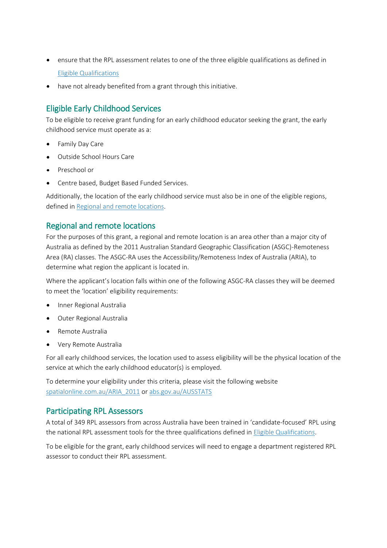- ensure that the RPL assessment relates to one of the three eligible qualifications as defined in [Eligible Qualifications](#page-2-0)
- have not already benefited from a grant through this initiative.  $\bullet$

### Eligible Early Childhood Services

To be eligible to receive grant funding for an early childhood educator seeking the grant, the early childhood service must operate as a:

- Family Day Care
- Outside School Hours Care
- Preschool or
- Centre based, Budget Based Funded Services.

Additionally, the location of the early childhood service must also be in one of the eligible regions, defined in [Regional and remote locations.](#page-3-1)

#### <span id="page-3-1"></span>Regional and remote locations

For the purposes of this grant, a regional and remote location is an area other than a major city of Australia as defined by the 2011 Australian Standard Geographic Classification (ASGC)-Remoteness Area (RA) classes. The ASGC-RA uses the Accessibility/Remoteness Index of Australia (ARIA), to determine what region the applicant is located in.

Where the applicant's location falls within one of the following ASGC-RA classes they will be deemed to meet the 'location' eligibility requirements:

- Inner Regional Australia
- $\bullet$ Outer Regional Australia
- Remote Australia
- Very Remote Australia

For all early childhood services, the location used to assess eligibility will be the physical location of the service at which the early childhood educator(s) is employed.

To determine your eligibility under this criteria, please visit the following website [spatialonline.com.au/ARIA\\_2011](http://www.spatialonline.com.au/ARIA_2011/default.aspx) or [abs.gov.au/AUSSTATS](http://www.abs.gov.au/AUSSTATS/abs@.nsf/DetailsPage/1270.0.55.005July%202011?OpenDocument)

#### <span id="page-3-0"></span>Participating RPL Assessors

A total of 349 RPL assessors from across Australia have been trained in 'candidate-focused' RPL using the national RPL assessment tools for the three qualifications defined in [Eligible Qualifications.](#page-2-0)

To be eligible for the grant, early childhood services will need to engage a department registered RPL assessor to conduct their RPL assessment.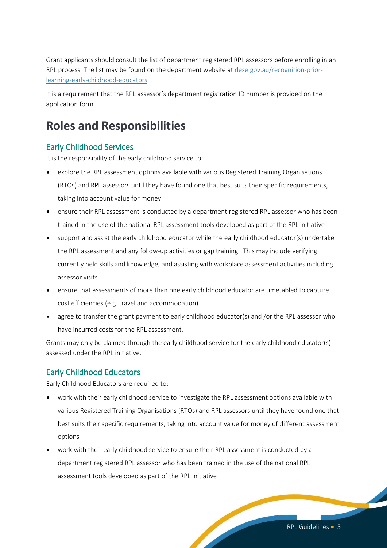Grant applicants should consult the list of department registered RPL assessors before enrolling in an RPL process. The list may be found on the department website at [dese.gov.au/recognition-prior](http://education.gov.au/recognition-prior-learning-early-childhood-educators-0)[learning-early-childhood-educators.](http://education.gov.au/recognition-prior-learning-early-childhood-educators-0)

It is a requirement that the RPL assessor's department registration ID number is provided on the application form.

# **Roles and Responsibilities**

#### Early Childhood Services

It is the responsibility of the early childhood service to:

- explore the RPL assessment options available with various Registered Training Organisations (RTOs) and RPL assessors until they have found one that best suits their specific requirements, taking into account value for money
- ensure their RPL assessment is conducted by a department registered RPL assessor who has been trained in the use of the national RPL assessment tools developed as part of the RPL initiative
- support and assist the early childhood educator while the early childhood educator(s) undertake the RPL assessment and any follow-up activities or gap training. This may include verifying currently held skills and knowledge, and assisting with workplace assessment activities including assessor visits
- ensure that assessments of more than one early childhood educator are timetabled to capture cost efficiencies (e.g. travel and accommodation)
- agree to transfer the grant payment to early childhood educator(s) and /or the RPL assessor who have incurred costs for the RPL assessment.

Grants may only be claimed through the early childhood service for the early childhood educator(s) assessed under the RPL initiative.

### Early Childhood Educators

Early Childhood Educators are required to:

- work with their early childhood service to investigate the RPL assessment options available with various Registered Training Organisations (RTOs) and RPL assessors until they have found one that best suits their specific requirements, taking into account value for money of different assessment options
- work with their early childhood service to ensure their RPL assessment is conducted by a department registered RPL assessor who has been trained in the use of the national RPL assessment tools developed as part of the RPL initiative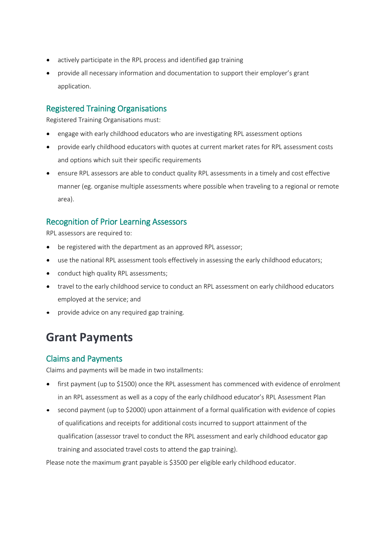- actively participate in the RPL process and identified gap training
- provide all necessary information and documentation to support their employer's grant application.

#### Registered Training Organisations

Registered Training Organisations must:

- engage with early childhood educators who are investigating RPL assessment options
- provide early childhood educators with quotes at current market rates for RPL assessment costs and options which suit their specific requirements
- ensure RPL assessors are able to conduct quality RPL assessments in a timely and cost effective manner (eg. organise multiple assessments where possible when traveling to a regional or remote area).

### Recognition of Prior Learning Assessors

RPL assessors are required to:

- be registered with the department as an approved RPL assessor;
- use the national RPL assessment tools effectively in assessing the early childhood educators;
- conduct high quality RPL assessments;
- travel to the early childhood service to conduct an RPL assessment on early childhood educators employed at the service; and
- provide advice on any required gap training.

# **Grant Payments**

#### Claims and Payments

Claims and payments will be made in two installments:

- first payment (up to \$1500) once the RPL assessment has commenced with evidence of enrolment  $\bullet$ in an RPL assessment as well as a copy of the early childhood educator's RPL Assessment Plan
- second payment (up to \$2000) upon attainment of a formal qualification with evidence of copies of qualifications and receipts for additional costs incurred to support attainment of the qualification (assessor travel to conduct the RPL assessment and early childhood educator gap training and associated travel costs to attend the gap training).

Please note the maximum grant payable is \$3500 per eligible early childhood educator.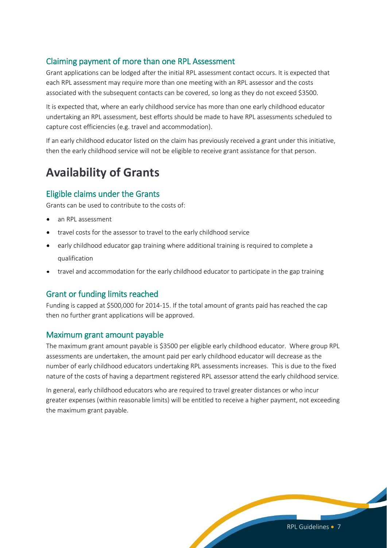#### Claiming payment of more than one RPL Assessment

Grant applications can be lodged after the initial RPL assessment contact occurs. It is expected that each RPL assessment may require more than one meeting with an RPL assessor and the costs associated with the subsequent contacts can be covered, so long as they do not exceed \$3500.

It is expected that, where an early childhood service has more than one early childhood educator undertaking an RPL assessment, best efforts should be made to have RPL assessments scheduled to capture cost efficiencies (e.g. travel and accommodation).

If an early childhood educator listed on the claim has previously received a grant under this initiative, then the early childhood service will not be eligible to receive grant assistance for that person.

# **Availability of Grants**

### Eligible claims under the Grants

Grants can be used to contribute to the costs of:

- an RPL assessment
- travel costs for the assessor to travel to the early childhood service
- early childhood educator gap training where additional training is required to complete a qualification
- travel and accommodation for the early childhood educator to participate in the gap training

### Grant or funding limits reached

Funding is capped at \$500,000 for 2014-15. If the total amount of grants paid has reached the cap then no further grant applications will be approved.

#### Maximum grant amount payable

The maximum grant amount payable is \$3500 per eligible early childhood educator. Where group RPL assessments are undertaken, the amount paid per early childhood educator will decrease as the number of early childhood educators undertaking RPL assessments increases. This is due to the fixed nature of the costs of having a department registered RPL assessor attend the early childhood service.

<span id="page-6-0"></span>In general, early childhood educators who are required to travel greater distances or who incur greater expenses (within reasonable limits) will be entitled to receive a higher payment, not exceeding the maximum grant payable.

RPL Guidelines • 7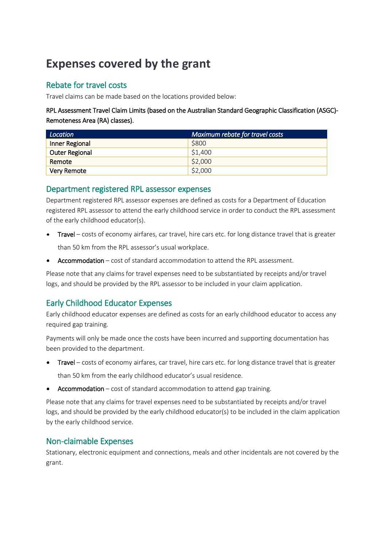# **Expenses covered by the grant**

### Rebate for travel costs

Travel claims can be made based on the locations provided below:

RPL Assessment Travel Claim Limits (based on the Australian Standard Geographic Classification (ASGC)- Remoteness Area (RA) classes).

| Location              | Maximum rebate for travel costs |
|-----------------------|---------------------------------|
| Inner Regional        | <b>S800</b>                     |
| <b>Outer Regional</b> | \$1,400                         |
| Remote                | \$2,000                         |
| Very Remote           | \$2,000                         |

#### Department registered RPL assessor expenses

Department registered RPL assessor expenses are defined as costs for a Department of Education registered RPL assessor to attend the early childhood service in order to conduct the RPL assessment of the early childhood educator(s).

- Travel costs of economy airfares, car travel, hire cars etc. for long distance travel that is greater than 50 km from the RPL assessor's usual workplace.
- Accommodation cost of standard accommodation to attend the RPL assessment.

Please note that any claims for travel expenses need to be substantiated by receipts and/or travel logs, and should be provided by the RPL assessor to be included in your claim application.

### <span id="page-7-0"></span>Early Childhood Educator Expenses

Early childhood educator expenses are defined as costs for an early childhood educator to access any required gap training.

Payments will only be made once the costs have been incurred and supporting documentation has been provided to the department.

Travel – costs of economy airfares, car travel, hire cars etc. for long distance travel that is greater

than 50 km from the early childhood educator's usual residence.

• Accommodation – cost of standard accommodation to attend gap training.

Please note that any claims for travel expenses need to be substantiated by receipts and/or travel logs, and should be provided by the early childhood educator(s) to be included in the claim application by the early childhood service.

### Non-claimable Expenses

Stationary, electronic equipment and connections, meals and other incidentals are not covered by the grant.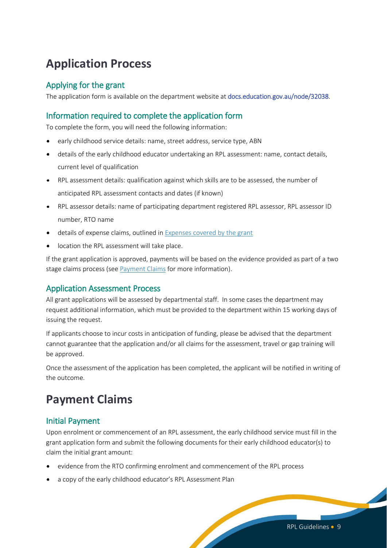# **Application Process**

### Applying for the grant

The application form is available on the department website at [docs.education.gov.au/node/32038.](http://docs.education.gov.au/node/32038)

### Information required to complete the application form

To complete the form, you will need the following information:

- early childhood service details: name, street address, service type, ABN
- details of the early childhood educator undertaking an RPL assessment: name, contact details, current level of qualification
- RPL assessment details: qualification against which skills are to be assessed, the number of anticipated RPL assessment contacts and dates (if known)
- RPL assessor details: name of participating department registered RPL assessor, RPL assessor ID number, RTO name
- details of expense claims, outlined in [Expenses covered by the grant](#page-6-0)
- location the RPL assessment will take place.

If the grant application is approved, payments will be based on the evidence provided as part of a two stage claims process (se[e Payment Claims](#page-8-0) for more information).

### Application Assessment Process

All grant applications will be assessed by departmental staff. In some cases the department may request additional information, which must be provided to the department within 15 working days of issuing the request.

If applicants choose to incur costs in anticipation of funding, please be advised that the department cannot guarantee that the application and/or all claims for the assessment, travel or gap training will be approved.

Once the assessment of the application has been completed, the applicant will be notified in writing of the outcome.

# <span id="page-8-0"></span>**Payment Claims**

### Initial Payment

Upon enrolment or commencement of an RPL assessment, the early childhood service must fill in the grant application form and submit the following documents for their early childhood educator(s) to claim the initial grant amount:

- evidence from the RTO confirming enrolment and commencement of the RPL process
- a copy of the early childhood educator's RPL Assessment Plan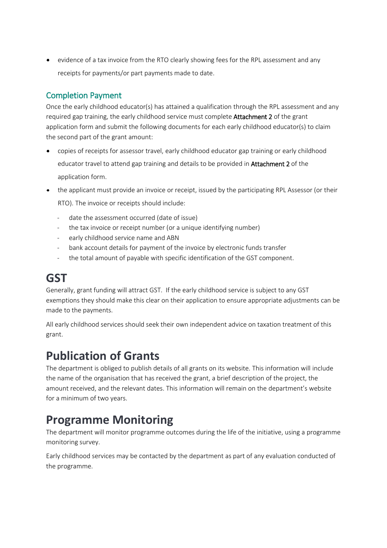evidence of a tax invoice from the RTO clearly showing fees for the RPL assessment and any receipts for payments/or part payments made to date.

### Completion Payment

Once the early childhood educator(s) has attained a qualification through the RPL assessment and any required gap training, the early childhood service must complete Attachment 2 of the grant application form and submit the following documents for each early childhood educator(s) to claim the second part of the grant amount:

- copies of receipts for assessor travel, early childhood educator gap training or early childhood educator travel to attend gap training and details to be provided in Attachment 2 of the application form.
- the applicant must provide an invoice or receipt, issued by the participating RPL Assessor (or their

RTO). The invoice or receipts should include:

- date the assessment occurred (date of issue)
- the tax invoice or receipt number (or a unique identifying number)
- early childhood service name and ABN
- bank account details for payment of the invoice by electronic funds transfer
- the total amount of payable with specific identification of the GST component.

# **GST**

Generally, grant funding will attract GST. If the early childhood service is subject to any GST exemptions they should make this clear on their application to ensure appropriate adjustments can be made to the payments.

All early childhood services should seek their own independent advice on taxation treatment of this grant.

# **Publication of Grants**

The department is obliged to publish details of all grants on its website. This information will include the name of the organisation that has received the grant, a brief description of the project, the amount received, and the relevant dates. This information will remain on the department's website for a minimum of two years.

# **Programme Monitoring**

The department will monitor programme outcomes during the life of the initiative, using a programme monitoring survey.

Early childhood services may be contacted by the department as part of any evaluation conducted of the programme.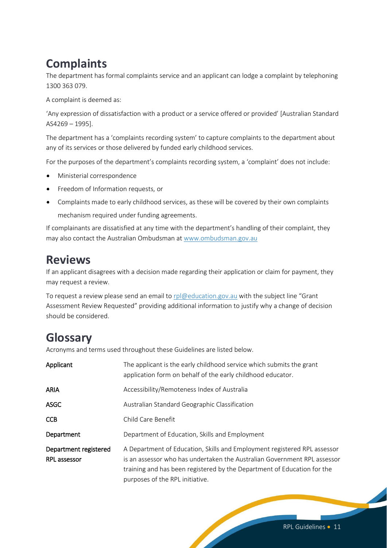# **Complaints**

The department has formal complaints service and an applicant can lodge a complaint by telephoning 1300 363 079.

A complaint is deemed as:

'Any expression of dissatisfaction with a product or a service offered or provided' [Australian Standard AS4269 – 1995].

The department has a 'complaints recording system' to capture complaints to the department about any of its services or those delivered by funded early childhood services.

For the purposes of the department's complaints recording system, a 'complaint' does not include:

- Ministerial correspondence
- Freedom of Information requests, or
- Complaints made to early childhood services, as these will be covered by their own complaints mechanism required under funding agreements.

If complainants are dissatisfied at any time with the department's handling of their complaint, they may also contact the Australian Ombudsman at [www.ombudsman.gov.au](http://www.ombudsman.gov.au/)

## **Reviews**

If an applicant disagrees with a decision made regarding their application or claim for payment, they may request a review.

To request a review please send an email to [rpl@education.gov.au](mailto:rpl@education.gov.au) with the subject line "Grant Assessment Review Requested" providing additional information to justify why a change of decision should be considered.

# **Glossary**

Acronyms and terms used throughout these Guidelines are listed below.

| Applicant                                    | The applicant is the early childhood service which submits the grant<br>application form on behalf of the early childhood educator.                                                                                                                                |
|----------------------------------------------|--------------------------------------------------------------------------------------------------------------------------------------------------------------------------------------------------------------------------------------------------------------------|
| ARIA                                         | Accessibility/Remoteness Index of Australia                                                                                                                                                                                                                        |
| <b>ASGC</b>                                  | Australian Standard Geographic Classification                                                                                                                                                                                                                      |
| <b>CCB</b>                                   | Child Care Benefit                                                                                                                                                                                                                                                 |
| Department                                   | Department of Education, Skills and Employment                                                                                                                                                                                                                     |
| Department registered<br><b>RPL</b> assessor | A Department of Education, Skills and Employment registered RPL assessor<br>is an assessor who has undertaken the Australian Government RPL assessor<br>training and has been registered by the Department of Education for the<br>purposes of the RPL initiative. |